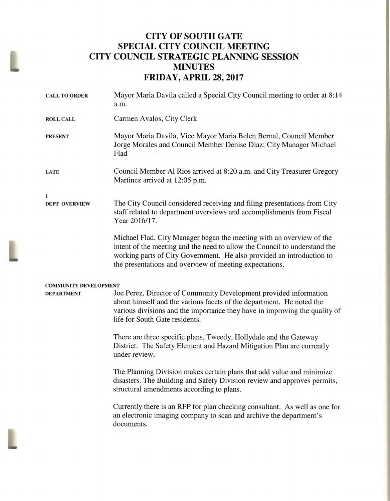# **CITY OF SOUTH GATE SPECIAL CITY COUNCIL MEETING CITY COUNCIL STRATEGIC PLANNING SESSION MINUTES FRIDAY, APRIL 28, 2017**

| <b>CALL TO ORDER</b>         | Mayor Maria Davila called a Special City Council meeting to order at 8:14<br>a.m.                                                                                                                                                                                                     |
|------------------------------|---------------------------------------------------------------------------------------------------------------------------------------------------------------------------------------------------------------------------------------------------------------------------------------|
| <b>ROLL CALL</b>             | Carmen Avalos, City Clerk                                                                                                                                                                                                                                                             |
| <b>PRESENT</b>               | Mayor Maria Davila, Vice Mayor Maria Belen Bernal, Council Member<br>Jorge Morales and Council Member Denise Diaz; City Manager Michael<br>Flad                                                                                                                                       |
| <b>LATE</b>                  | Council Member Al Rios arrived at 8:20 a.m. and City Treasurer Gregory<br>Martinez arrived at 12:05 p.m.                                                                                                                                                                              |
| 1                            |                                                                                                                                                                                                                                                                                       |
| <b>DEPT OVERVIEW</b>         | The City Council considered receiving and filing presentations from City<br>staff related to department overviews and accomplishments from Fiscal<br>Year 2016/17.                                                                                                                    |
|                              | Michael Flad, City Manager began the meeting with an overview of the<br>intent of the meeting and the need to allow the Council to understand the<br>working parts of City Government. He also provided an introduction to<br>the presentations and overview of meeting expectations. |
| <b>COMMUNITY DEVELOPMENT</b> |                                                                                                                                                                                                                                                                                       |
| <b>DEPARTMENT</b>            | Joe Perez, Director of Community Development provided information<br>about himself and the various facets of the department. He noted the<br>various divisions and the importance they have in improving the quality of<br>life for South Gate residents.                             |
|                              | There are three specific plans, Tweedy, Hollydale and the Gateway<br>District. The Safety Element and Hazard Mitigation Plan are currently<br>under review.                                                                                                                           |
|                              | The Planning Division makes certain plans that add value and minimize<br>disasters. The Building and Safety Division review and approves permits,<br>structural amendments according to plans.                                                                                        |
|                              | Currently there is an RFP for plan checking consultant. As well as one for<br>an electronic imaging company to scan and archive the department's<br>documents.                                                                                                                        |
|                              |                                                                                                                                                                                                                                                                                       |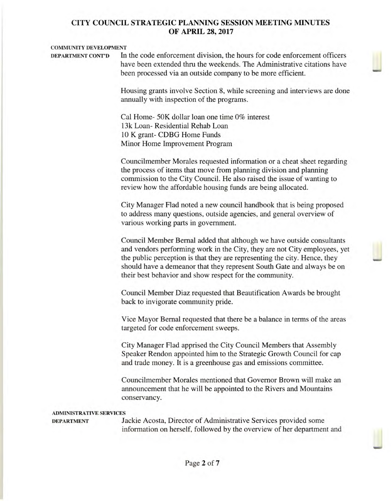#### **COMMUNITY DEVELOPMENT**

**DEPARTMENT CONT'D** In the code enforcement division, the hours for code enforcement officers have been extended thru the weekends. The Administrative citations have been processed via an outside company to be more efficient.

> Housing grants involve Section 8, while screening and interviews are done annually with inspection of the programs.

Cal Home- 50K dollar loan one time 0% interest 13k Loan- Residential Rehab Loan 10 K grant- CDBG Home Funds Minor Home Improvement Program

Councilmember Morales requested information or a cheat sheet regarding the process of items that move from planning division and planning commission to the City Council. He also raised the issue of wanting to review how the affordable housing funds are being allocated.

City Manager Had noted a new council handbook that is being proposed to address many questions, outside agencies, and general overview of various working parts in government.

Council Member Bernal added that although we have outside consultants and vendors performing work in the City, they are not City employees, yet the public perception is that they are representing the city. Hence, they should have a demeanor that they represent South Gate and always be on their best behavior and show respect for the community.

Council Member Diaz requested that Beautification Awards be brought back to invigorate community pride.

Vice Mayor Bernal requested that there be a balance in terms of the areas targeted for code enforcement sweeps.

City Manager Had apprised the City Council Members that Assembly Speaker Rendon appointed him to the Strategic Growth Council for cap and trade money. It is a greenhouse gas and emissions committee.

Councilmember Morales mentioned that Governor Brown will make an announcement that he will be appointed to the Rivers and Mountains conservancy.

#### **ADMINISTRATIVE SERVICES**

**DEPARTMENT** Jackie Acosta, Director of Administrative Services provided some information on herself, followed by the overview of her department and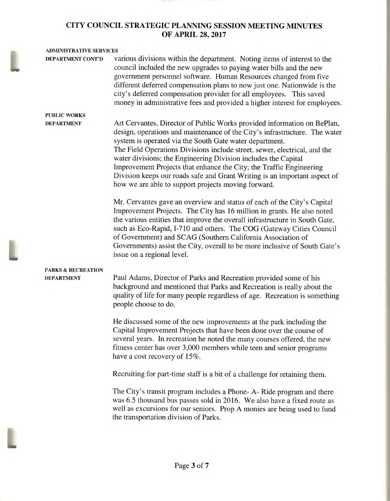# **ADMINISTRATIVE SERVICES DEPARTMENT CONT'D** various divisions within the department. Noting items of interest to the council included the new upgrades to paying water bills and the new government personnel software. Human Resources changed from five different deferred compensation plans to now just one. Nationwide is the city's deferred compensation provider for all employees. This saved money in administrative fees and provided a higher interest for employees. **PUBLIC WORKS DEPARTMENT** Art Cervantes, Director of Public Works provided information on BePlan,

design, operations and maintenance of the City's infrastructure. The water system is operated via the South Gate water department. The Field Operations Divisions include street, sewer, electrical, and the water divisions; the Engineering Division includes the Capital Improvement Projects that enhance the City; the Traffic Engineering Division keeps our roads safe and Grant Writing is an important aspect of how we are able to support projects moving forward.

Mr. Cervantes gave an overview and status of each of the City's Capital Improvement Projects. The City has 16 million in grants. He also noted the various entities that improve the overall infrastructure in South Gate, such as Eco-Rapid, 1-710 and others. The COG (Gateway Cities Council of Government) and SCAG (Southern California Association of Governments) assist the City, overall to be more inclusive of South Gate's issue on a regional level.

## **PARKS & RECREATION**

**DEPARTMENT** Paul Adams, Director of Parks and Recreation provided some of his background and mentioned that Parks and Recreation is really about the quality of life for many people regardless of age. Recreation is something people choose to do.

> He discussed some of the new improvements at the park including the Capital Improvement Projects that have been done over the course of several years. In recreation he noted the many courses offered, the new fitness center has over 3,000 members while teen and senior programs have a cost recovery of 15%.

Recruiting for part-time staff is a bit of a challenge for retaining them.

The City's transit program includes a Phone- A- Ride program and there was 6.5 thousand bus passes sold in 2016. We also have a fixed route as well as excursions for our seniors. Prop A monies are being used to fund the transportation division of Parks.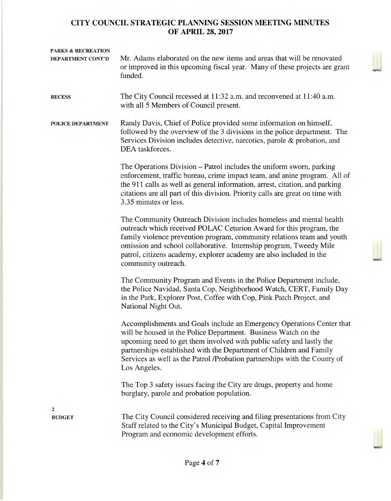| <b>PARKS &amp; RECREATION</b><br>DEPARTMENT CONT'D | Mr. Adams elaborated on the new items and areas that will be renovated<br>or improved in this upcoming fiscal year. Many of these projects are grant<br>funded.                                                                                                                                                                                                                         |
|----------------------------------------------------|-----------------------------------------------------------------------------------------------------------------------------------------------------------------------------------------------------------------------------------------------------------------------------------------------------------------------------------------------------------------------------------------|
| <b>RECESS</b>                                      | The City Council recessed at 11:32 a.m. and reconvened at 11:40 a.m.<br>with all 5 Members of Council present.                                                                                                                                                                                                                                                                          |
| POLICE DEPARTMENT                                  | Randy Davis, Chief of Police provided some information on himself,<br>followed by the overview of the 3 divisions in the police department. The<br>Services Division includes detective, narcotics, parole & probation, and<br>DEA taskforces.                                                                                                                                          |
|                                                    | The Operations Division – Patrol includes the uniform sworn, parking<br>enforcement, traffic bureau, crime impact team, and anine program. All of<br>the 911 calls as well as general information, arrest, citation, and parking<br>citations are all part of this division. Priority calls are great on time with<br>3.35 minutes or less.                                             |
|                                                    | The Community Outreach Division includes homeless and mental health<br>outreach which received POLAC Ceturion Award for this program, the<br>family violence prevention program, community relations team and youth<br>omission and school collaborative. Internship program, Tweedy Mile<br>patrol, citizens academy, explorer academy are also included in the<br>community outreach. |
|                                                    | The Community Program and Events in the Police Department include,<br>the Police Navidad, Santa Cop, Neighborhood Watch, CERT, Family Day<br>in the Park, Explorer Post, Coffee with Cop, Pink Patch Project, and<br>National Night Out.                                                                                                                                                |
|                                                    | Accomplishments and Goals include an Emergency Operations Center that<br>will be housed in the Police Department. Business Watch on the<br>upcoming need to get them involved with public safety and lastly the<br>partnerships established with the Department of Children and Family<br>Services as well as the Patrol /Probation partnerships with the County of<br>Los Angeles.     |
|                                                    | The Top 3 safety issues facing the City are drugs, property and home<br>burglary, parole and probation population.                                                                                                                                                                                                                                                                      |
| $\overline{2}$                                     |                                                                                                                                                                                                                                                                                                                                                                                         |
| <b>BUDGET</b>                                      | The City Council considered receiving and filing presentations from City<br>Staff related to the City's Municipal Budget, Capital Improvement<br>Program and economic development efforts.                                                                                                                                                                                              |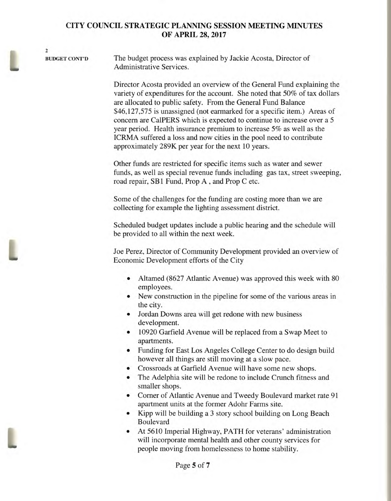2

BUDGET CONT'D The budget process was explained by Jackie Acosta, Director of Administrative Services.

> Director Acosta provided an overview of the General Fund explaining the variety of expenditures for the account. She noted that 50% of tax dollars are allocated to public safety. From the General Fund Balance \$46,127,575 is unassigned (not earmarked for a specific item.) Areas of concern are Ca1PERS which is expected to continue to increase over a 5 year period. Health insurance premium to increase 5% as well as the ICRMA suffered a loss and now cities in the pool need to contribute approximately 289K per year for the next 10 years.

> Other funds are restricted for specific items such as water and sewer funds, as well as special revenue funds including gas tax, street sweeping, road repair, SB1 Fund, Prop A , and Prop C etc.

Some of the challenges for the funding are costing more than we are collecting for example the lighting assessment district.

Scheduled budget updates include a public hearing and the schedule will be provided to all within the next week.

Joe Perez, Director of Community Development provided an overview of Economic Development efforts of the City

- Altamed (8627 Atlantic Avenue) was approved this week with 80 employees.
- New construction in the pipeline for some of the various areas in the city.
- Jordan Downs area will get redone with new business development.
- 10920 Garfield Avenue will be replaced from a Swap Meet to apartments.
- Funding for East Los Angeles College Center to do design build however all things are still moving at a slow pace.
- Crossroads at Garfield Avenue will have some new shops.
- The Adelphia site will be redone to include Crunch fitness and smaller shops.
- Corner of Atlantic Avenue and Tweedy Boulevard market rate 91 apartment units at the former Adohr Farms site.
- Kipp will be building a 3 story school building on Long Beach Boulevard
- At 5610 Imperial Highway, PATH for veterans' administration will incorporate mental health and other county services for people moving from homelessness to home stability.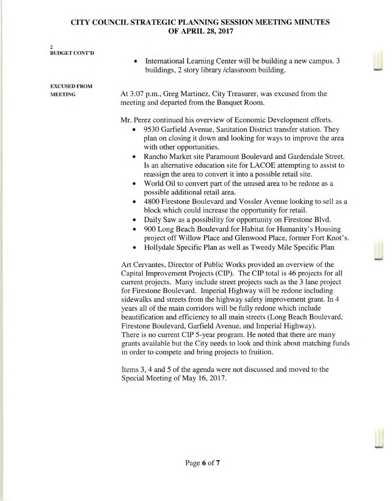| 2<br><b>BUDGET CONT'D</b>             |                                                                                                                                                                                                                                                                                                                                                                                                                                                                                                                                                                                                                                                                                                                                                                                                                                                                                                                                                                         |
|---------------------------------------|-------------------------------------------------------------------------------------------------------------------------------------------------------------------------------------------------------------------------------------------------------------------------------------------------------------------------------------------------------------------------------------------------------------------------------------------------------------------------------------------------------------------------------------------------------------------------------------------------------------------------------------------------------------------------------------------------------------------------------------------------------------------------------------------------------------------------------------------------------------------------------------------------------------------------------------------------------------------------|
|                                       | International Learning Center will be building a new campus. 3<br>$\bullet$<br>buildings, 2 story library /classroom building.                                                                                                                                                                                                                                                                                                                                                                                                                                                                                                                                                                                                                                                                                                                                                                                                                                          |
| <b>EXCUSED FROM</b><br><b>MEETING</b> | At 3:07 p.m., Greg Martinez, City Treasurer, was excused from the                                                                                                                                                                                                                                                                                                                                                                                                                                                                                                                                                                                                                                                                                                                                                                                                                                                                                                       |
|                                       | meeting and departed from the Banquet Room.                                                                                                                                                                                                                                                                                                                                                                                                                                                                                                                                                                                                                                                                                                                                                                                                                                                                                                                             |
|                                       | Mr. Perez continued his overview of Economic Development efforts.<br>9530 Garfield Avenue, Sanitation District transfer station. They<br>plan on closing it down and looking for ways to improve the area<br>with other opportunities.<br>Rancho Market site Paramount Boulevard and Gardendale Street.<br>Is an alternative education site for LACOE attempting to assist to<br>reassign the area to convert it into a possible retail site.<br>World Oil to convert part of the unused area to be redone as a<br>possible additional retail area.<br>4800 Firestone Boulevard and Vossler Avenue looking to sell as a<br>$\bullet$<br>block which could increase the opportunity for retail.<br>Daily Saw as a possibility for opportunity on Firestone Blvd.<br>٠<br>900 Long Beach Boulevard for Habitat for Humanity's Housing<br>project off Willow Place and Glenwood Place, former Fort Knot's.<br>Hollydale Specific Plan as well as Tweedy Mile Specific Plan |
|                                       | Art Cervantes, Director of Public Works provided an overview of the<br>Capital Improvement Projects (CIP). The CIP total is 46 projects for all<br>current projects. Many include street projects such as the 3 lane project<br>for Firestone Boulevard. Imperial Highway will be redone including<br>sidewalks and streets from the highway safety improvement grant. In 4<br>years all of the main corridors will be fully redone which include<br>beautification and efficiency to all main streets (Long Beach Boulevard,<br>Firestone Boulevard, Garfield Avenue, and Imperial Highway).<br>There is no current CIP 5-year program. He noted that there are many                                                                                                                                                                                                                                                                                                   |

in order to compete and bring projects to fruition. Items 3, 4 and 5 of the agenda were not discussed and moved to the

grants available but the City needs to look and think about matching funds

Special Meeting of May 16, 2017.